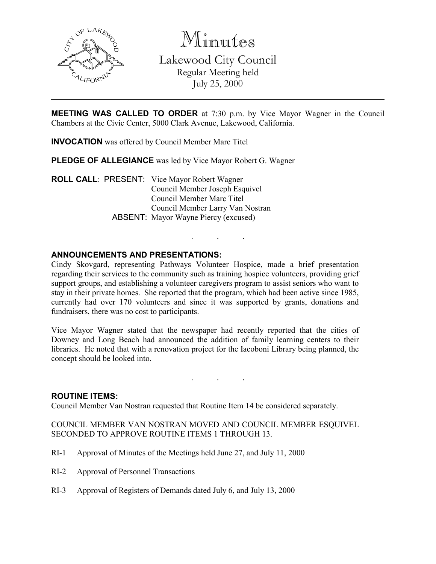

Minutes

Lakewood City Council Regular Meeting held July 25, 2000

MEETING WAS CALLED TO ORDER at 7:30 p.m. by Vice Mayor Wagner in the Council Chambers at the Civic Center, 5000 Clark Avenue, Lakewood, California.

INVOCATION was offered by Council Member Marc Titel

PLEDGE OF ALLEGIANCE was led by Vice Mayor Robert G. Wagner

ROLL CALL: PRESENT: Vice Mayor Robert Wagner Council Member Joseph Esquivel Council Member Marc Titel Council Member Larry Van Nostran ABSENT: Mayor Wayne Piercy (excused)

## ANNOUNCEMENTS AND PRESENTATIONS:

Cindy Skovgard, representing Pathways Volunteer Hospice, made a brief presentation regarding their services to the community such as training hospice volunteers, providing grief support groups, and establishing a volunteer caregivers program to assist seniors who want to stay in their private homes. She reported that the program, which had been active since 1985, currently had over 170 volunteers and since it was supported by grants, donations and fundraisers, there was no cost to participants.

. . .

Vice Mayor Wagner stated that the newspaper had recently reported that the cities of Downey and Long Beach had announced the addition of family learning centers to their libraries. He noted that with a renovation project for the Iacoboni Library being planned, the concept should be looked into.

. . .

### ROUTINE ITEMS:

Council Member Van Nostran requested that Routine Item 14 be considered separately.

COUNCIL MEMBER VAN NOSTRAN MOVED AND COUNCIL MEMBER ESQUIVEL SECONDED TO APPROVE ROUTINE ITEMS 1 THROUGH 13.

- RI-1 Approval of Minutes of the Meetings held June 27, and July 11, 2000
- RI-2 Approval of Personnel Transactions
- RI-3 Approval of Registers of Demands dated July 6, and July 13, 2000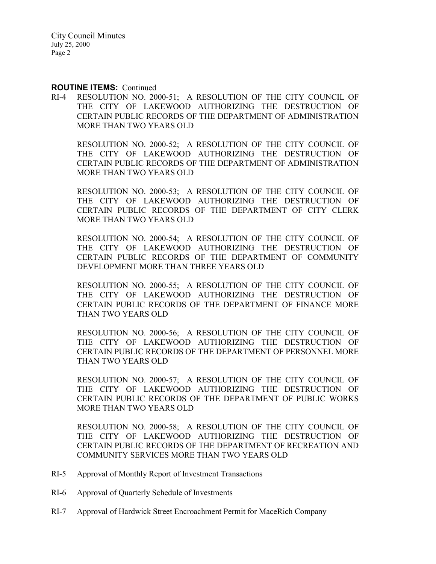City Council Minutes July 25, 2000 Page 2

### ROUTINE ITEMS: Continued

RI-4 RESOLUTION NO. 2000-51; A RESOLUTION OF THE CITY COUNCIL OF THE CITY OF LAKEWOOD AUTHORIZING THE DESTRUCTION OF CERTAIN PUBLIC RECORDS OF THE DEPARTMENT OF ADMINISTRATION MORE THAN TWO YEARS OLD

RESOLUTION NO. 2000-52; A RESOLUTION OF THE CITY COUNCIL OF THE CITY OF LAKEWOOD AUTHORIZING THE DESTRUCTION OF CERTAIN PUBLIC RECORDS OF THE DEPARTMENT OF ADMINISTRATION MORE THAN TWO YEARS OLD

RESOLUTION NO. 2000-53; A RESOLUTION OF THE CITY COUNCIL OF THE CITY OF LAKEWOOD AUTHORIZING THE DESTRUCTION OF CERTAIN PUBLIC RECORDS OF THE DEPARTMENT OF CITY CLERK MORE THAN TWO YEARS OLD

RESOLUTION NO. 2000-54; A RESOLUTION OF THE CITY COUNCIL OF THE CITY OF LAKEWOOD AUTHORIZING THE DESTRUCTION OF CERTAIN PUBLIC RECORDS OF THE DEPARTMENT OF COMMUNITY DEVELOPMENT MORE THAN THREE YEARS OLD

RESOLUTION NO. 2000-55; A RESOLUTION OF THE CITY COUNCIL OF THE CITY OF LAKEWOOD AUTHORIZING THE DESTRUCTION OF CERTAIN PUBLIC RECORDS OF THE DEPARTMENT OF FINANCE MORE THAN TWO YEARS OLD

RESOLUTION NO. 2000-56; A RESOLUTION OF THE CITY COUNCIL OF THE CITY OF LAKEWOOD AUTHORIZING THE DESTRUCTION OF CERTAIN PUBLIC RECORDS OF THE DEPARTMENT OF PERSONNEL MORE THAN TWO YEARS OLD

RESOLUTION NO. 2000-57; A RESOLUTION OF THE CITY COUNCIL OF THE CITY OF LAKEWOOD AUTHORIZING THE DESTRUCTION OF CERTAIN PUBLIC RECORDS OF THE DEPARTMENT OF PUBLIC WORKS MORE THAN TWO YEARS OLD

RESOLUTION NO. 2000-58; A RESOLUTION OF THE CITY COUNCIL OF THE CITY OF LAKEWOOD AUTHORIZING THE DESTRUCTION OF CERTAIN PUBLIC RECORDS OF THE DEPARTMENT OF RECREATION AND COMMUNITY SERVICES MORE THAN TWO YEARS OLD

- RI-5 Approval of Monthly Report of Investment Transactions
- RI-6 Approval of Quarterly Schedule of Investments
- RI-7 Approval of Hardwick Street Encroachment Permit for MaceRich Company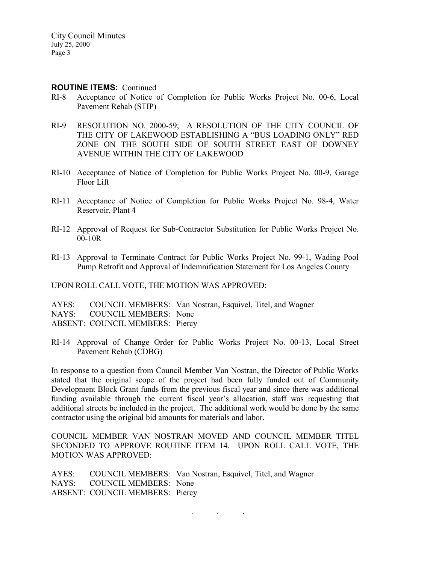### ROUTINE ITEMS: Continued

- RI-8 Acceptance of Notice of Completion for Public Works Project No. 00-6, Local Pavement Rehab (STIP)
- RI-9 RESOLUTION NO. 2000-59; A RESOLUTION OF THE CITY COUNCIL OF THE CITY OF LAKEWOOD ESTABLISHING A "BUS LOADING ONLY" RED ZONE ON THE SOUTH SIDE OF SOUTH STREET EAST OF DOWNEY AVENUE WITHIN THE CITY OF LAKEWOOD
- RI-10 Acceptance of Notice of Completion for Public Works Project No. 00-9, Garage Floor Lift
- RI-11 Acceptance of Notice of Completion for Public Works Project No. 98-4, Water Reservoir, Plant 4
- RI-12 Approval of Request for Sub-Contractor Substitution for Public Works Project No. 00-10R
- RI-13 Approval to Terminate Contract for Public Works Project No. 99-1, Wading Pool Pump Retrofit and Approval of Indemnification Statement for Los Angeles County

UPON ROLL CALL VOTE, THE MOTION WAS APPROVED:

AYES: COUNCIL MEMBERS: Van Nostran, Esquivel, Titel, and Wagner NAYS: COUNCIL MEMBERS: None ABSENT: COUNCIL MEMBERS: Piercy

RI-14 Approval of Change Order for Public Works Project No. 00-13, Local Street Pavement Rehab (CDBG)

In response to a question from Council Member Van Nostran, the Director of Public Works stated that the original scope of the project had been fully funded out of Community Development Block Grant funds from the previous fiscal year and since there was additional funding available through the current fiscal year's allocation, staff was requesting that additional streets be included in the project. The additional work would be done by the same contractor using the original bid amounts for materials and labor.

COUNCIL MEMBER VAN NOSTRAN MOVED AND COUNCIL MEMBER TITEL SECONDED TO APPROVE ROUTINE ITEM 14. UPON ROLL CALL VOTE, THE MOTION WAS APPROVED:

AYES: COUNCIL MEMBERS: Van Nostran, Esquivel, Titel, and Wagner NAYS: COUNCIL MEMBERS: None ABSENT: COUNCIL MEMBERS: Piercy

 $\mathbf{r} = \mathbf{r} \cdot \mathbf{r}$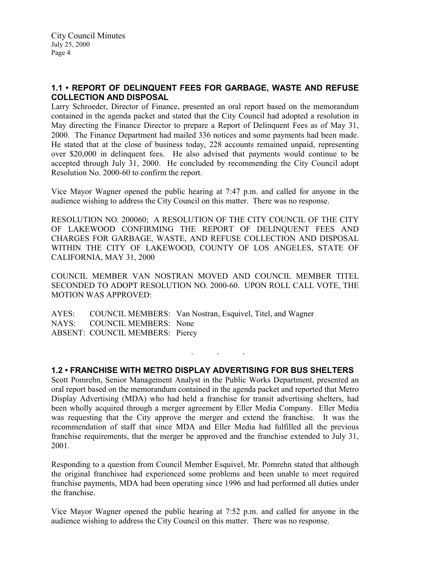# 1.1 • REPORT OF DELINQUENT FEES FOR GARBAGE, WASTE AND REFUSE COLLECTION AND DISPOSAL

Larry Schroeder, Director of Finance, presented an oral report based on the memorandum contained in the agenda packet and stated that the City Council had adopted a resolution in May directing the Finance Director to prepare a Report of Delinquent Fees as of May 31, 2000. The Finance Department had mailed 336 notices and some payments had been made. He stated that at the close of business today, 228 accounts remained unpaid, representing over \$20,000 in delinquent fees. He also advised that payments would continue to be accepted through July 31, 2000. He concluded by recommending the City Council adopt Resolution No. 2000-60 to confirm the report.

Vice Mayor Wagner opened the public hearing at 7:47 p.m. and called for anyone in the audience wishing to address the City Council on this matter. There was no response.

RESOLUTION NO. 200060; A RESOLUTION OF THE CITY COUNCIL OF THE CITY OF LAKEWOOD CONFIRMING THE REPORT OF DELINQUENT FEES AND CHARGES FOR GARBAGE, WASTE, AND REFUSE COLLECTION AND DISPOSAL WITHIN THE CITY OF LAKEWOOD, COUNTY OF LOS ANGELES, STATE OF CALIFORNIA, MAY 31, 2000

COUNCIL MEMBER VAN NOSTRAN MOVED AND COUNCIL MEMBER TITEL SECONDED TO ADOPT RESOLUTION NO. 2000-60. UPON ROLL CALL VOTE, THE MOTION WAS APPROVED:

AYES: COUNCIL MEMBERS: Van Nostran, Esquivel, Titel, and Wagner NAYS: COUNCIL MEMBERS: None ABSENT: COUNCIL MEMBERS: Piercy

### 1.2 • FRANCHISE WITH METRO DISPLAY ADVERTISING FOR BUS SHELTERS

. . .

Scott Pomrehn, Senior Management Analyst in the Public Works Department, presented an oral report based on the memorandum contained in the agenda packet and reported that Metro Display Advertising (MDA) who had held a franchise for transit advertising shelters, had been wholly acquired through a merger agreement by Eller Media Company. Eller Media was requesting that the City approve the merger and extend the franchise. It was the recommendation of staff that since MDA and Eller Media had fulfilled all the previous franchise requirements, that the merger be approved and the franchise extended to July 31, 2001.

Responding to a question from Council Member Esquivel, Mr. Pomrehn stated that although the original franchisee had experienced some problems and been unable to meet required franchise payments, MDA had been operating since 1996 and had performed all duties under the franchise.

Vice Mayor Wagner opened the public hearing at 7:52 p.m. and called for anyone in the audience wishing to address the City Council on this matter. There was no response.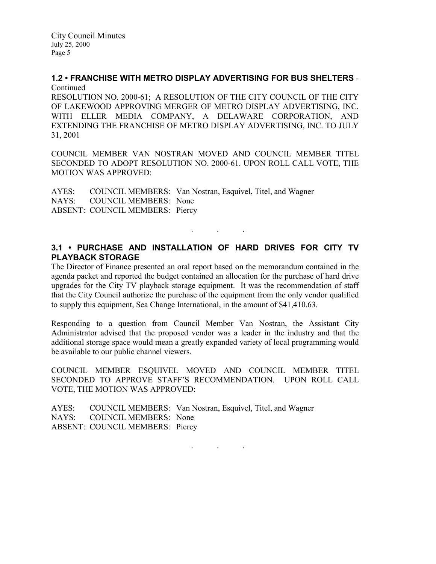City Council Minutes July 25, 2000 Page 5

## 1.2 • FRANCHISE WITH METRO DISPLAY ADVERTISING FOR BUS SHELTERS - Continued

RESOLUTION NO. 2000-61; A RESOLUTION OF THE CITY COUNCIL OF THE CITY OF LAKEWOOD APPROVING MERGER OF METRO DISPLAY ADVERTISING, INC. WITH ELLER MEDIA COMPANY, A DELAWARE CORPORATION, AND EXTENDING THE FRANCHISE OF METRO DISPLAY ADVERTISING, INC. TO JULY 31, 2001

COUNCIL MEMBER VAN NOSTRAN MOVED AND COUNCIL MEMBER TITEL SECONDED TO ADOPT RESOLUTION NO. 2000-61. UPON ROLL CALL VOTE, THE MOTION WAS APPROVED:

AYES: COUNCIL MEMBERS: Van Nostran, Esquivel, Titel, and Wagner NAYS: COUNCIL MEMBERS: None ABSENT: COUNCIL MEMBERS: Piercy

# 3.1 • PURCHASE AND INSTALLATION OF HARD DRIVES FOR CITY TV PLAYBACK STORAGE

. . .

The Director of Finance presented an oral report based on the memorandum contained in the agenda packet and reported the budget contained an allocation for the purchase of hard drive upgrades for the City TV playback storage equipment. It was the recommendation of staff that the City Council authorize the purchase of the equipment from the only vendor qualified to supply this equipment, Sea Change International, in the amount of \$41,410.63.

Responding to a question from Council Member Van Nostran, the Assistant City Administrator advised that the proposed vendor was a leader in the industry and that the additional storage space would mean a greatly expanded variety of local programming would be available to our public channel viewers.

COUNCIL MEMBER ESQUIVEL MOVED AND COUNCIL MEMBER TITEL SECONDED TO APPROVE STAFF'S RECOMMENDATION. UPON ROLL CALL VOTE, THE MOTION WAS APPROVED:

|                                 | AYES: COUNCIL MEMBERS: Van Nostran, Esquivel, Titel, and Wagner |
|---------------------------------|-----------------------------------------------------------------|
| NAYS: COUNCIL MEMBERS: None     |                                                                 |
| ABSENT: COUNCIL MEMBERS: Piercy |                                                                 |

. . .